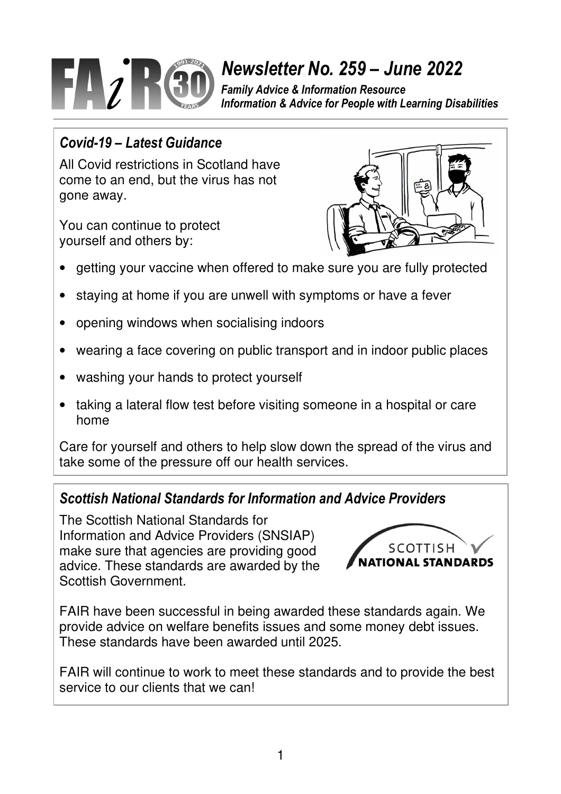

# *Newsletter No. 259 – June 2022*

*Family Advice & Information Resource Information & Advice for People with Learning Disabilities*

# *Covid-19 – Latest Guidance*

All Covid restrictions in Scotland have come to an end, but the virus has not gone away.

You can continue to protect yourself and others by:



- getting your vaccine when offered to make sure you are fully protected
- staying at home if you are unwell with symptoms or have a fever
- opening windows when socialising indoors
- wearing a face covering on public transport and in indoor public places
- washing your hands to protect yourself
- taking a lateral flow test before visiting someone in a hospital or care home

Care for yourself and others to help slow down the spread of the virus and take some of the pressure off our health services.

# *Scottish National Standards for Information and Advice Providers*

The Scottish National Standards for Information and Advice Providers (SNSIAP) make sure that agencies are providing good advice. These standards are awarded by the Scottish Government.



FAIR have been successful in being awarded these standards again. We provide advice on welfare benefits issues and some money debt issues. These standards have been awarded until 2025.

FAIR will continue to work to meet these standards and to provide the best service to our clients that we can!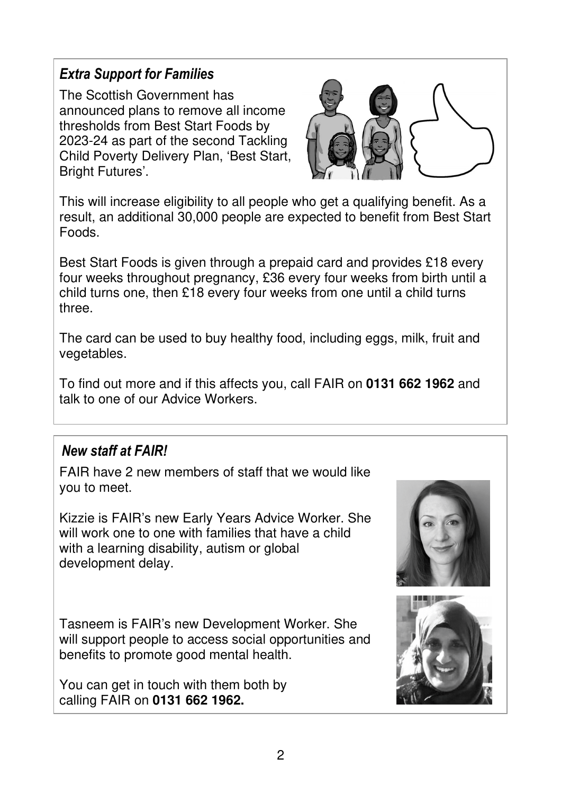# *Extra Support for Families*

The Scottish Government has announced plans to remove all income thresholds from Best Start Foods by 2023-24 as part of the second Tackling Child Poverty Delivery Plan, 'Best Start, Bright Futures'.



This will increase eligibility to all people who get a qualifying benefit. As a result, an additional 30,000 people are expected to benefit from Best Start Foods.

Best Start Foods is given through a prepaid card and provides £18 every four weeks throughout pregnancy, £36 every four weeks from birth until a child turns one, then £18 every four weeks from one until a child turns three.

The card can be used to buy healthy food, including eggs, milk, fruit and vegetables.

To find out more and if this affects you, call FAIR on **0131 662 1962** and talk to one of our Advice Workers.

#### *New staff at FAIR!*

FAIR have 2 new members of staff that we would like you to meet.

Kizzie is FAIR's new Early Years Advice Worker. She will work one to one with families that have a child with a learning disability, autism or global development delay.

Tasneem is FAIR's new Development Worker. She will support people to access social opportunities and benefits to promote good mental health.

You can get in touch with them both by calling FAIR on **0131 662 1962.**



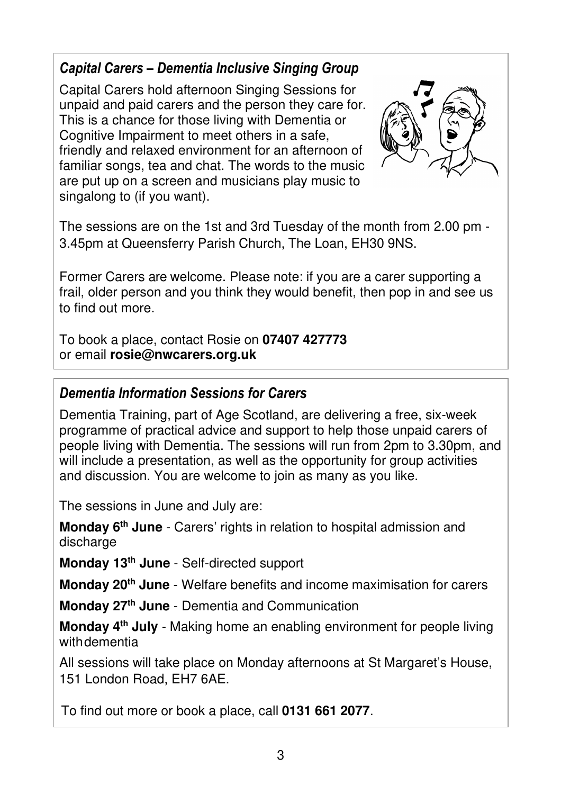# *Capital Carers – Dementia Inclusive Singing Group*

Capital Carers hold afternoon Singing Sessions for unpaid and paid carers and the person they care for. This is a chance for those living with Dementia or Cognitive Impairment to meet others in a safe, friendly and relaxed environment for an afternoon of familiar songs, tea and chat. The words to the music are put up on a screen and musicians play music to singalong to (if you want).



The sessions are on the 1st and 3rd Tuesday of the month from 2.00 pm - 3.45pm at Queensferry Parish Church, The Loan, EH30 9NS.

Former Carers are welcome. Please note: if you are a carer supporting a frail, older person and you think they would benefit, then pop in and see us to find out more.

To book a place, contact Rosie on **07407 427773**  or email **rosie@nwcarers.org.uk**

# *Dementia Information Sessions for Carers*

Dementia Training, part of Age Scotland, are delivering a free, six-week programme of practical advice and support to help those unpaid carers of people living with Dementia. The sessions will run from 2pm to 3.30pm, and will include a presentation, as well as the opportunity for group activities and discussion. You are welcome to join as many as you like.

The sessions in June and July are:

**Monday 6th June** - Carers' rights in relation to hospital admission and discharge

**Monday 13th June** - Self-directed support

**Monday 20th June** - Welfare benefits and income maximisation for carers

**Monday 27th June** - Dementia and Communication

**Monday 4th July** - Making home an enabling environment for people living with dementia

All sessions will take place on Monday afternoons at St Margaret's House, 151 London Road, EH7 6AE.

To find out more or book a place, call **0131 661 2077**.